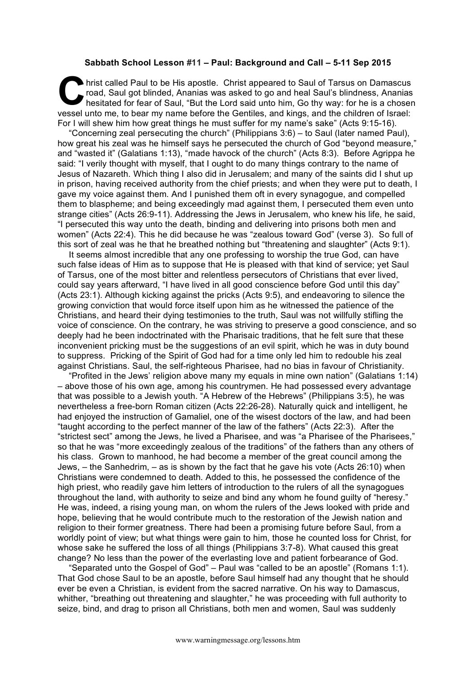## **Sabbath School Lesson #11 – Paul: Background and Call – 5-11 Sep 2015**

hrist called Paul to be His apostle. Christ appeared to Saul of Tarsus on Damascus<br>
road, Saul got blinded, Ananias was asked to go and heal Saul's blindness, Ananias<br>
hesitated for fear of Saul, "But the Lord said unto hi road, Saul got blinded, Ananias was asked to go and heal Saul's blindness, Ananias hesitated for fear of Saul, "But the Lord said unto him, Go thy way: for he is a chosen vessel unto me, to bear my name before the Gentiles, and kings, and the children of Israel: For I will shew him how great things he must suffer for my name's sake" (Acts 9:15-16).

"Concerning zeal persecuting the church" (Philippians 3:6) – to Saul (later named Paul), how great his zeal was he himself says he persecuted the church of God "beyond measure," and "wasted it" (Galatians 1:13), "made havock of the church" (Acts 8:3). Before Agrippa he said: "I verily thought with myself, that I ought to do many things contrary to the name of Jesus of Nazareth. Which thing I also did in Jerusalem; and many of the saints did I shut up in prison, having received authority from the chief priests; and when they were put to death, I gave my voice against them. And I punished them oft in every synagogue, and compelled them to blaspheme; and being exceedingly mad against them, I persecuted them even unto strange cities" (Acts 26:9-11). Addressing the Jews in Jerusalem, who knew his life, he said, "I persecuted this way unto the death, binding and delivering into prisons both men and women" (Acts 22:4). This he did because he was "zealous toward God" (verse 3). So full of this sort of zeal was he that he breathed nothing but "threatening and slaughter" (Acts 9:1).

It seems almost incredible that any one professing to worship the true God, can have such false ideas of Him as to suppose that He is pleased with that kind of service; yet Saul of Tarsus, one of the most bitter and relentless persecutors of Christians that ever lived, could say years afterward, "I have lived in all good conscience before God until this day" (Acts 23:1). Although kicking against the pricks (Acts 9:5), and endeavoring to silence the growing conviction that would force itself upon him as he witnessed the patience of the Christians, and heard their dying testimonies to the truth, Saul was not willfully stifling the voice of conscience. On the contrary, he was striving to preserve a good conscience, and so deeply had he been indoctrinated with the Pharisaic traditions, that he felt sure that these inconvenient pricking must be the suggestions of an evil spirit, which he was in duty bound to suppress. Pricking of the Spirit of God had for a time only led him to redouble his zeal against Christians. Saul, the self-righteous Pharisee, had no bias in favour of Christianity.

"Profited in the Jews' religion above many my equals in mine own nation" (Galatians 1:14) – above those of his own age, among his countrymen. He had possessed every advantage that was possible to a Jewish youth. "A Hebrew of the Hebrews" (Philippians 3:5), he was nevertheless a free-born Roman citizen (Acts 22:26-28). Naturally quick and intelligent, he had enjoyed the instruction of Gamaliel, one of the wisest doctors of the law, and had been "taught according to the perfect manner of the law of the fathers" (Acts 22:3). After the "strictest sect" among the Jews, he lived a Pharisee, and was "a Pharisee of the Pharisees," so that he was "more exceedingly zealous of the traditions" of the fathers than any others of his class. Grown to manhood, he had become a member of the great council among the Jews, – the Sanhedrim, – as is shown by the fact that he gave his vote (Acts 26:10) when Christians were condemned to death. Added to this, he possessed the confidence of the high priest, who readily gave him letters of introduction to the rulers of all the synagogues throughout the land, with authority to seize and bind any whom he found guilty of "heresy." He was, indeed, a rising young man, on whom the rulers of the Jews looked with pride and hope, believing that he would contribute much to the restoration of the Jewish nation and religion to their former greatness. There had been a promising future before Saul, from a worldly point of view; but what things were gain to him, those he counted loss for Christ, for whose sake he suffered the loss of all things (Philippians 3:7-8). What caused this great change? No less than the power of the everlasting love and patient forbearance of God.

"Separated unto the Gospel of God" – Paul was "called to be an apostle" (Romans 1:1). That God chose Saul to be an apostle, before Saul himself had any thought that he should ever be even a Christian, is evident from the sacred narrative. On his way to Damascus, whither, "breathing out threatening and slaughter," he was proceeding with full authority to seize, bind, and drag to prison all Christians, both men and women, Saul was suddenly